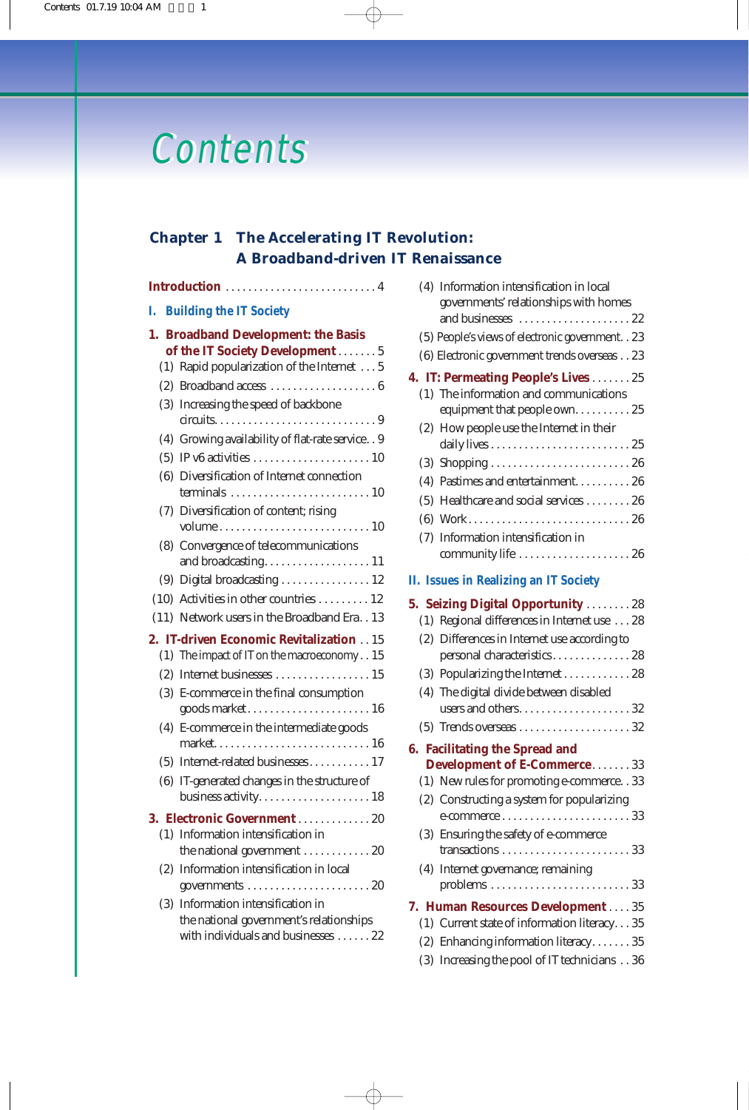# **Contents**

## **Chapter 1 The Accelerating IT Revolution: A Broadband-driven IT Renaissance**

### **Introduction** . . . . . . . . . . . . . . . . . . . . . . . . . . . 4

**I. Building the IT Society**

|     | 1. Broadband Development: the Basis                |
|-----|----------------------------------------------------|
|     | of the IT Society Development 5                    |
|     | (1) Rapid popularization of the Internet 5         |
|     |                                                    |
|     | (3) Increasing the speed of backbone               |
|     |                                                    |
|     | (4) Growing availability of flat-rate service. . 9 |
|     |                                                    |
|     | (6) Diversification of Internet connection         |
|     | (7) Diversification of content; rising             |
|     |                                                    |
|     | (8) Convergence of telecommunications              |
|     |                                                    |
|     | (9) Digital broadcasting  12                       |
|     | $(10)$ Activities in other countries  12           |
|     | (11) Network users in the Broadband Era. . 13      |
|     | 2. IT-driven Economic Revitalization 15            |
|     | (1) The impact of IT on the macroeconomy 15        |
|     |                                                    |
|     | (3) E-commerce in the final consumption            |
|     | goods market 16                                    |
| (4) | E-commerce in the intermediate goods               |
|     |                                                    |
|     | (5) Internet-related businesses 17                 |
|     | (6) IT-generated changes in the structure of       |
|     |                                                    |
|     | <b>3. Electronic Government</b> 20                 |
|     | (1) Information intensification in                 |
|     | the national government 20                         |
| (2) | Information intensification in local               |
|     |                                                    |
| (3) | Information intensification in                     |
|     | the national government's relationships            |
|     | with individuals and businesses  22                |

| (4) Information intensification in local                                                                         |
|------------------------------------------------------------------------------------------------------------------|
| governments' relationships with homes<br>and businesses 22                                                       |
| (5) People's views of electronic government. . 23                                                                |
| (6) Electronic government trends overseas 23                                                                     |
|                                                                                                                  |
| <b>4. IT: Permeating People's Lives 25</b><br>(1) The information and communications                             |
| equipment that people own25                                                                                      |
| (2) How people use the Internet in their                                                                         |
|                                                                                                                  |
|                                                                                                                  |
| (4) Pastimes and entertainment26                                                                                 |
| (5) Healthcare and social services 26                                                                            |
|                                                                                                                  |
| (7) Information intensification in                                                                               |
| community life  26                                                                                               |
| <b>II. Issues in Realizing an IT Society</b>                                                                     |
| 5. Seizing Digital Opportunity  28                                                                               |
| (1) Regional differences in Internet use  28                                                                     |
| (2) Differences in Internet use according to<br>personal characteristics 28                                      |
| (3) Popularizing the Internet 28                                                                                 |
| (4) The digital divide between disabled                                                                          |
| users and others32                                                                                               |
|                                                                                                                  |
| <b>6. Facilitating the Spread and</b>                                                                            |
| <b>Development of E-Commerce33</b>                                                                               |
| (1) New rules for promoting e-commerce. . 33                                                                     |
| (2) Constructing a system for popularizing<br>$e$ -commerce $\dots \dots \dots \dots \dots \dots \dots \dots 33$ |
| (3) Ensuring the safety of e-commerce                                                                            |
|                                                                                                                  |
| (4) Internet governance; remaining                                                                               |
|                                                                                                                  |
| 7. Human Resources Development 35                                                                                |
| (1) Current state of information literacy35                                                                      |
| (2) Enhancing information literacy35                                                                             |
| (3) Increasing the pool of IT technicians 36                                                                     |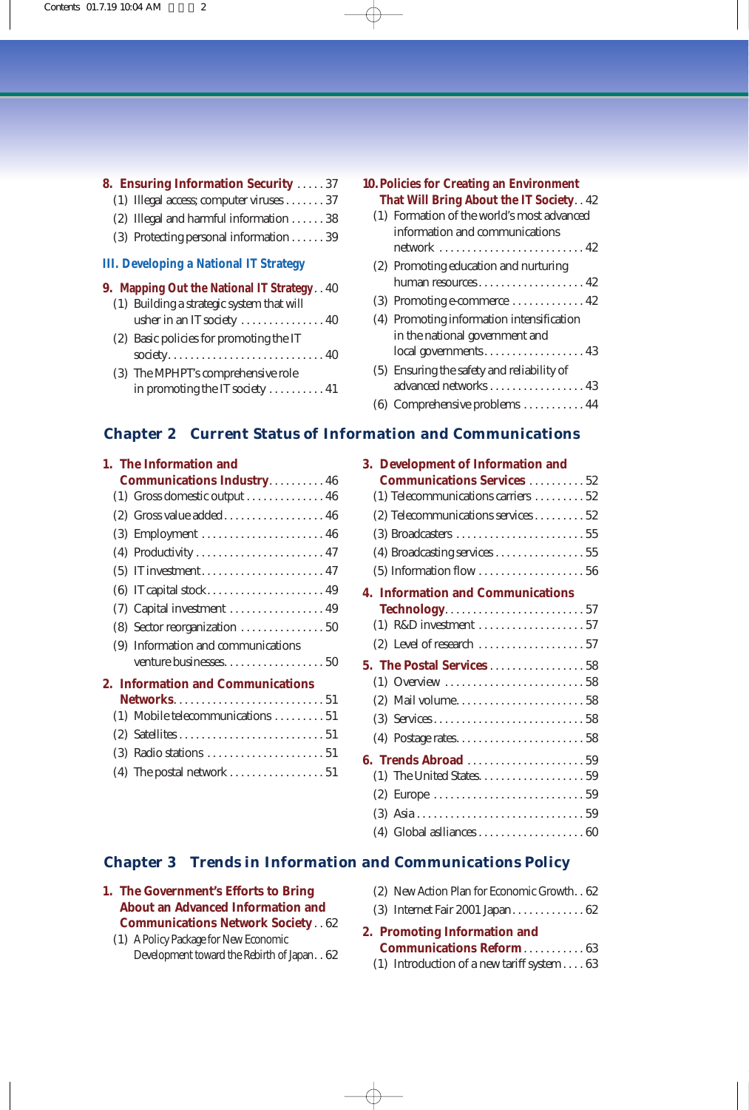| <b>8. Ensuring Information Security  37</b>       |  |
|---------------------------------------------------|--|
| (1) Illegal access; computer viruses 37           |  |
| (2) Illegal and harmful information $\ldots$ . 38 |  |
| (3) Protecting personal information $\ldots$ . 39 |  |
| <b>III. Developing a National IT Strategy</b>     |  |
|                                                   |  |
| 9. Mapping Out the National IT Strategy. . 40     |  |
| (1) Building a strategic system that will         |  |
| usher in an IT society  40                        |  |
| (2) Basic policies for promoting the IT           |  |
|                                                   |  |
| (3) The MPHPT's comprehensive role                |  |

| <b>10. Policies for Creating an Environment</b><br><b>That Will Bring About the IT Society. . 42</b> |                                            |
|------------------------------------------------------------------------------------------------------|--------------------------------------------|
|                                                                                                      | (1) Formation of the world's most advanced |
|                                                                                                      | information and communications             |
|                                                                                                      |                                            |
|                                                                                                      | (2) Promoting education and nurturing      |
|                                                                                                      | human resources 42                         |
|                                                                                                      |                                            |
|                                                                                                      | (4) Promoting information intensification  |
|                                                                                                      | in the national government and             |
|                                                                                                      | local governments 43                       |
|                                                                                                      | (5) Ensuring the safety and reliability of |
|                                                                                                      | advanced networks  43                      |
|                                                                                                      | (6) Comprehensive problems  44             |

## **Chapter 2 Current Status of Information and Communications**

| 1. The Information and |                                                            |
|------------------------|------------------------------------------------------------|
|                        | <b>Communications Industry 46</b>                          |
|                        | $(1)$ Gross domestic output $\dots\dots\dots\dots\dots$ 46 |
|                        |                                                            |
|                        | (3) Employment  46                                         |
|                        |                                                            |
|                        |                                                            |
|                        |                                                            |
|                        | (7) Capital investment  49                                 |
|                        | (8) Sector reorganization  50                              |
|                        | (9) Information and communications                         |
|                        |                                                            |
|                        | <b>2. Information and Communications</b>                   |
|                        | <b>Networks</b> 51                                         |
|                        | (1) Mobile telecommunications 51                           |
|                        |                                                            |
|                        |                                                            |
|                        |                                                            |

(4) The postal network  $\dots\dots\dots\dots\dots\dots \dots 51$ 

| 3. Development of Information and        |
|------------------------------------------|
| <b>Communications Services  52</b>       |
| (1) Telecommunications carriers  52      |
| $(2)$ Telecommunications services 52     |
|                                          |
| (4) Broadcasting services 55             |
|                                          |
| <b>4. Information and Communications</b> |
| <b>Technology</b> 57                     |
|                                          |
|                                          |
| 5. The Postal Services 58                |
|                                          |
|                                          |
|                                          |
|                                          |
| <b>6. Trends Abroad</b> 59               |
|                                          |
|                                          |
|                                          |
|                                          |

## **Chapter 3 Trends in Information and Communications Policy**

| 1. The Government's Efforts to Bring     |
|------------------------------------------|
| <b>About an Advanced Information and</b> |
| <b>Communications Network Society 62</b> |

(1) A Policy Package for New Economic Development toward the Rebirth of Japan. . 62

| (2) New Action Plan for Economic Growth. . 62                                                                                                                                                                                                                                                                                 |  |
|-------------------------------------------------------------------------------------------------------------------------------------------------------------------------------------------------------------------------------------------------------------------------------------------------------------------------------|--|
| $(0)$ $\mathbf{r}$ $\mathbf{r}$ $\mathbf{r}$ $\mathbf{r}$ $\mathbf{r}$ $\mathbf{r}$ $\mathbf{r}$ $\mathbf{r}$ $\mathbf{r}$ $\mathbf{r}$ $\mathbf{r}$ $\mathbf{r}$ $\mathbf{r}$ $\mathbf{r}$ $\mathbf{r}$ $\mathbf{r}$ $\mathbf{r}$ $\mathbf{r}$ $\mathbf{r}$ $\mathbf{r}$ $\mathbf{r}$ $\mathbf{r}$ $\mathbf{r}$ $\mathbf{r}$ |  |

(3) Internet Fair 2001 Japan. . . . . . . . . . . . . 62

#### **2. Promoting Information and Communications Reform**. . . . . . . . . . . 63

(1) Introduction of a new tariff system . . . . 63